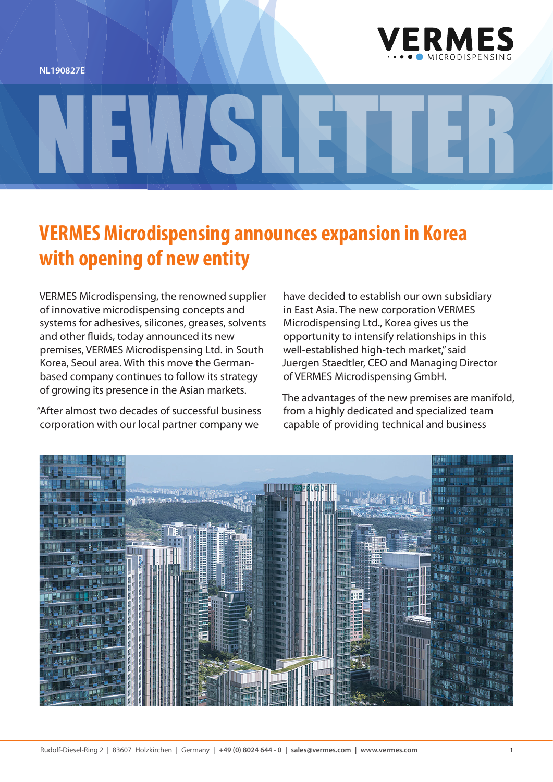**NL190827E**



## **VERMES Microdispensing announces expansion in Korea with opening of new entity**

NEWSLETTER

VERMES Microdispensing, the renowned supplier of innovative microdispensing concepts and systems for adhesives, silicones, greases, solvents and other fluids, today announced its new premises, VERMES Microdispensing Ltd. in South Korea, Seoul area. With this move the Germanbased company continues to follow its strategy of growing its presence in the Asian markets.

"After almost two decades of successful business corporation with our local partner company we

have decided to establish our own subsidiary in East Asia. The new corporation VERMES Microdispensing Ltd., Korea gives us the opportunity to intensify relationships in this well-established high-tech market," said Juergen Staedtler, CEO and Managing Director of VERMES Microdispensing GmbH.

The advantages of the new premises are manifold, from a highly dedicated and specialized team capable of providing technical and business